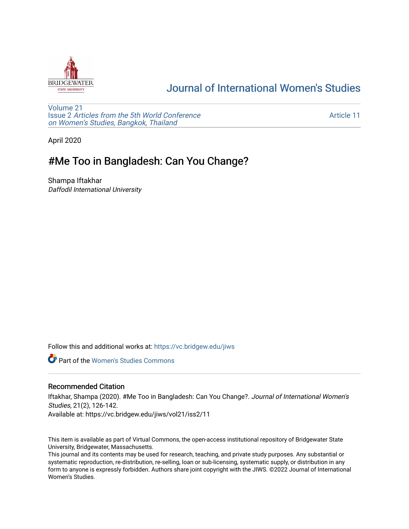

# [Journal of International Women's Studies](https://vc.bridgew.edu/jiws)

[Volume 21](https://vc.bridgew.edu/jiws/vol21) Issue 2 [Articles from the 5th World Conference](https://vc.bridgew.edu/jiws/vol21/iss2) [on Women's Studies, Bangkok, Thailand](https://vc.bridgew.edu/jiws/vol21/iss2) 

[Article 11](https://vc.bridgew.edu/jiws/vol21/iss2/11) 

April 2020

# #Me Too in Bangladesh: Can You Change?

Shampa Iftakhar Daffodil International University

Follow this and additional works at: [https://vc.bridgew.edu/jiws](https://vc.bridgew.edu/jiws?utm_source=vc.bridgew.edu%2Fjiws%2Fvol21%2Fiss2%2F11&utm_medium=PDF&utm_campaign=PDFCoverPages)

**C** Part of the Women's Studies Commons

### Recommended Citation

Iftakhar, Shampa (2020). #Me Too in Bangladesh: Can You Change?. Journal of International Women's Studies, 21(2), 126-142. Available at: https://vc.bridgew.edu/jiws/vol21/iss2/11

This item is available as part of Virtual Commons, the open-access institutional repository of Bridgewater State University, Bridgewater, Massachusetts.

This journal and its contents may be used for research, teaching, and private study purposes. Any substantial or systematic reproduction, re-distribution, re-selling, loan or sub-licensing, systematic supply, or distribution in any form to anyone is expressly forbidden. Authors share joint copyright with the JIWS. ©2022 Journal of International Women's Studies.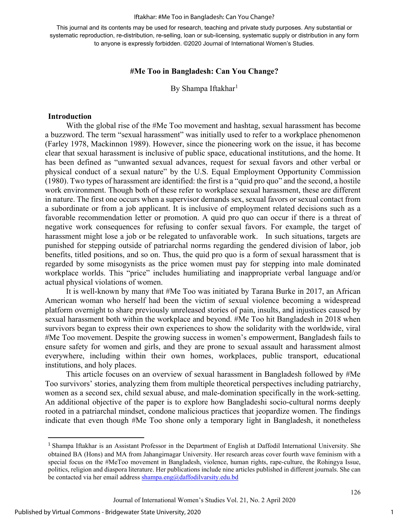#### Iftakhar: #Me Too in Bangladesh: Can You Change?

This journal and its contents may be used for research, teaching and private study purposes. Any substantial or systematic reproduction, re-distribution, re-selling, loan or sub-licensing, systematic supply or distribution in any form to anyone is expressly forbidden. ©2020 Journal of International Women's Studies.

### **#Me Too in Bangladesh: Can You Change?**

By Shampa Iftakhar<sup>[1](#page-1-0)</sup>

#### **Introduction**

With the global rise of the #Me Too movement and hashtag, sexual harassment has become a buzzword. The term "sexual harassment" was initially used to refer to a workplace phenomenon (Farley 1978, Mackinnon 1989). However, since the pioneering work on the issue, it has become clear that sexual harassment is inclusive of public space, educational institutions, and the home. It has been defined as "unwanted sexual advances, request for sexual favors and other verbal or physical conduct of a sexual nature" by the U.S. Equal Employment Opportunity Commission (1980). Two types of harassment are identified: the first is a "quid pro quo" and the second, a hostile work environment. Though both of these refer to workplace sexual harassment, these are different in nature. The first one occurs when a supervisor demands sex, sexual favors or sexual contact from a subordinate or from a job applicant. It is inclusive of employment related decisions such as a favorable recommendation letter or promotion. A quid pro quo can occur if there is a threat of negative work consequences for refusing to confer sexual favors. For example, the target of harassment might lose a job or be relegated to unfavorable work. In such situations, targets are punished for stepping outside of patriarchal norms regarding the gendered division of labor, job benefits, titled positions, and so on. Thus, the quid pro quo is a form of sexual harassment that is regarded by some misogynists as the price women must pay for stepping into male dominated workplace worlds. This "price" includes humiliating and inappropriate verbal language and/or actual physical violations of women.

It is well-known by many that #Me Too was initiated by Tarana Burke in 2017, an African American woman who herself had been the victim of sexual violence becoming a widespread platform overnight to share previously unreleased stories of pain, insults, and injustices caused by sexual harassment both within the workplace and beyond. #Me Too hit Bangladesh in 2018 when survivors began to express their own experiences to show the solidarity with the worldwide, viral #Me Too movement. Despite the growing success in women's empowerment, Bangladesh fails to ensure safety for women and girls, and they are prone to sexual assault and harassment almost everywhere, including within their own homes, workplaces, public transport, educational institutions, and holy places.

This article focuses on an overview of sexual harassment in Bangladesh followed by #Me Too survivors' stories, analyzing them from multiple theoretical perspectives including patriarchy, women as a second sex, child sexual abuse, and male-domination specifically in the work-setting. An additional objective of the paper is to explore how Bangladeshi socio-cultural norms deeply rooted in a patriarchal mindset, condone malicious practices that jeopardize women. The findings indicate that even though #Me Too shone only a temporary light in Bangladesh, it nonetheless

<span id="page-1-0"></span><sup>&</sup>lt;sup>1</sup> Shampa Iftakhar is an Assistant Professor in the Department of English at Daffodil International University. She obtained BA (Hons) and MA from Jahangirnagar University. Her research areas cover fourth wave feminism with a special focus on the #MeToo movement in Bangladesh, violence, human rights, rape-culture, the Rohingya Issue, politics, religion and diaspora literature. Her publications include nine articles published in different journals. She can be contacted via her email address [shampa.eng@daffodilvarsity.edu.bd](mailto:shampa.eng@daffodilvarsity.edu.bd)

Journal of International Women's Studies Vol. 21, No. 2 April 2020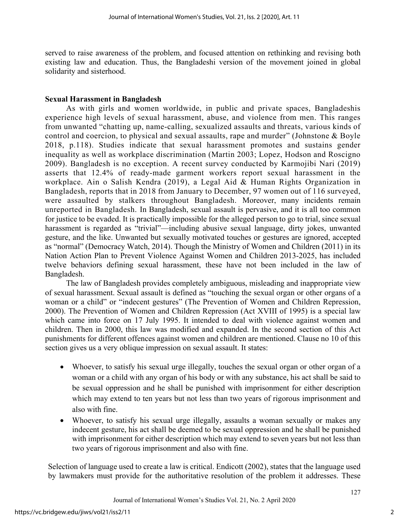served to raise awareness of the problem, and focused attention on rethinking and revising both existing law and education. Thus, the Bangladeshi version of the movement joined in global solidarity and sisterhood.

## **Sexual Harassment in Bangladesh**

As with girls and women worldwide, in public and private spaces, Bangladeshis experience high levels of sexual harassment, abuse, and violence from men. This ranges from unwanted "chatting up, name-calling, sexualized assaults and threats, various kinds of control and coercion, to physical and sexual assaults, rape and murder" (Johnstone & Boyle 2018, p.118). Studies indicate that sexual harassment promotes and sustains gender inequality as well as workplace discrimination (Martin 2003; Lopez, Hodson and Roscigno 2009). Bangladesh is no exception. A recent survey conducted by Karmojibi Nari (2019) asserts that 12.4% of ready-made garment workers report sexual harassment in the workplace. Ain o Salish Kendra (2019), a Legal Aid & Human Rights Organization in Bangladesh, reports that in 2018 from January to December, 97 women out of 116 surveyed, were assaulted by stalkers throughout Bangladesh. Moreover, many incidents remain unreported in Bangladesh. In Bangladesh, sexual assault is pervasive, and it is all too common for justice to be evaded. It is practically impossible for the alleged person to go to trial, since sexual harassment is regarded as "trivial"—including abusive sexual language, dirty jokes, unwanted gesture, and the like. Unwanted but sexually motivated touches or gestures are ignored, accepted as "normal" (Democracy Watch, 2014). Though the Ministry of Women and Children (2011) in its Nation Action Plan to Prevent Violence Against Women and Children 2013-2025, has included twelve behaviors defining sexual harassment, these have not been included in the law of Bangladesh.

The law of Bangladesh provides completely ambiguous, misleading and inappropriate view of sexual harassment. Sexual assault is defined as "touching the sexual organ or other organs of a woman or a child" or "indecent gestures" (The Prevention of Women and Children Repression, 2000). The Prevention of Women and Children Repression (Act XVIII of 1995) is a special law which came into force on 17 July 1995. It intended to deal with violence against women and children. Then in 2000, this law was modified and expanded. In the second section of this Act punishments for different offences against women and children are mentioned. Clause no 10 of this section gives us a very oblique impression on sexual assault. It states:

- Whoever, to satisfy his sexual urge illegally, touches the sexual organ or other organ of a woman or a child with any organ of his body or with any substance, his act shall be said to be sexual oppression and he shall be punished with imprisonment for either description which may extend to ten years but not less than two years of rigorous imprisonment and also with fine.
- Whoever, to satisfy his sexual urge illegally, assaults a woman sexually or makes any indecent gesture, his act shall be deemed to be sexual oppression and he shall be punished with imprisonment for either description which may extend to seven years but not less than two years of rigorous imprisonment and also with fine.

Selection of language used to create a law is critical. Endicott (2002), states that the language used by lawmakers must provide for the authoritative resolution of the problem it addresses. These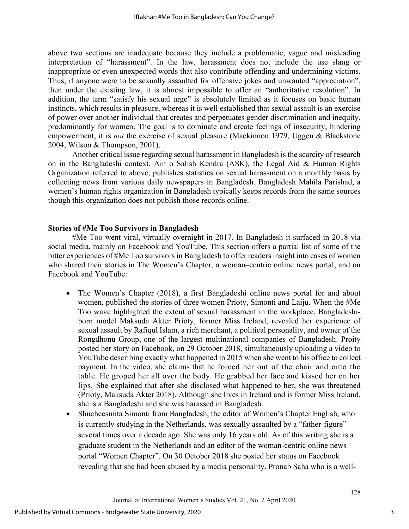above two sections are inadequate because they include a problematic, vague and misleading interpretation of "harassment". In the law, harassment does not include the use slang or inappropriate or even unexpected words that also contribute offending and undermining victims. Thus, if anyone were to be sexually assaulted for offensive jokes and unwanted "appreciation", then under the existing law, it is almost impossible to offer an "authoritative resolution". In addition, the term "satisfy his sexual urge" is absolutely limited as it focuses on basic human instincts, which results in pleasure, whereas it is well established that sexual assault is an exercise of power over another individual that creates and perpetuates gender discrimination and inequity, predominantly for women. The goal is to dominate and create feelings of insecurity, hindering empowerment, it is *not* the exercise of sexual pleasure (Mackinnon 1979, Uggen & Blackstone 2004, Wilson & Thompson, 2001).

 Another critical issue regarding sexual harassment in Bangladesh is the scarcity of research on in the Bangladeshi context. Ain o Salish Kendra (ASK), the Legal Aid & Human Rights Organization referred to above, publishes statistics on sexual harassment on a monthly basis by collecting news from various daily newspapers in Bangladesh. Bangladesh Mahila Parishad, a women's human rights organization in Bangladesh typically keeps records from the same sources though this organization does not publish those records online.

## **Stories of #Me Too Survivors in Bangladesh**

#Me Too went viral, virtually overnight in 2017. In Bangladesh it surfaced in 2018 via social media, mainly on Facebook and YouTube. This section offers a partial list of some of the bitter experiences of #Me Too survivors in Bangladesh to offer readers insight into cases of women who shared their stories in The Women's Chapter, a woman–centric online news portal, and on Facebook and YouTube:

- The Women's Chapter (2018), a first Bangladeshi online news portal for and about women, published the stories of three women Prioty, Simonti and Laiju. When the #Me Too wave highlighted the extent of sexual harassment in the workplace, Bangladeshiborn model Maksuda Akter Prioty, former Miss Ireland, revealed her experience of sexual assault by Rafiqul Islam, a rich merchant, a political personality, and owner of the Rongdhonu Group, one of the largest multinational companies of Bangladesh. Proity posted her story on Facebook, on 29 October 2018, simultaneously uploading a video to YouTube describing exactly what happened in 2015 when she went to his office to collect payment. In the video, she claims that he forced her out of the chair and onto the table. He groped her all over the body. He grabbed her face and kissed her on her lips. She explained that after she disclosed what happened to her, she was threatened (Prioty, Maksuda Akter 2018). [Although](https://www.youtube.com/watch?v=6PpkT0H13_g.%20Though) she lives in Ireland and is former Miss Ireland, she is a Bangladeshi and she was harassed in Bangladesh.
- Shucheesmita Simonti from Bangladesh, the editor of Women's Chapter English, who is currently studying in the Netherlands, was sexually assaulted by a "father-figure" several times over a decade ago. She was only 16 years old. As of this writing she is a graduate student in the Netherlands and an editor of the woman-centric online news portal "Women Chapter". On 30 October 2018 she posted her status on Facebook revealing that she had been abused by a media personality. Pronab Saha who is a well-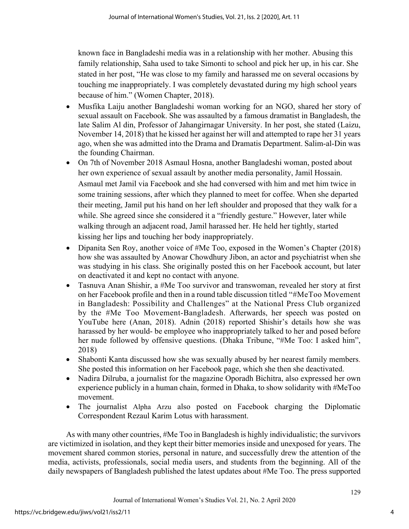known face in Bangladeshi media was in a relationship with her mother. Abusing this family relationship, Saha used to take Simonti to school and pick her up, in his car. She stated in her post, "He was close to my family and harassed me on several occasions by touching me inappropriately. I was completely devastated during my high school years because of him." (Women Chapter, 2018).

- Musfika Laiju another Bangladeshi woman working for an NGO, shared her story of sexual assault on Facebook. She was assaulted by a famous dramatist in Bangladesh, the late Salim Al din, Professor of Jahangirnagar University. In her post, she stated (Laizu, November 14, 2018) that he kissed her against her will and attempted to rape her 31 years ago, when she was admitted into the Drama and Dramatis Department. Salim-al-Din was the founding Chairman.
- On 7th of November 2018 Asmaul Hosna, another Bangladeshi woman, posted about her own experience of sexual assault by another media personality, Jamil Hossain. Asmaul met Jamil via Facebook and she had conversed with him and met him twice in some training sessions, after which they planned to meet for coffee. When she departed their meeting, Jamil put his hand on her left shoulder and proposed that they walk for a while. She agreed since she considered it a "friendly gesture." However, later while walking through an adjacent road, Jamil harassed her. He held her tightly, started kissing her lips and touching her body inappropriately.
- Dipanita Sen Roy, another voice of #Me Too, exposed in the Women's Chapter (2018) how she was assaulted by Anowar Chowdhury Jibon, an actor and psychiatrist when she was studying in his class. She originally posted this on her Facebook account, but later on deactivated it and kept no contact with anyone.
- Tasnuva Anan Shishir, a #Me Too survivor and transwoman, revealed her story at first on her Facebook profile and then in a round table discussion titled "#MeToo Movement in Bangladesh: Possibility and Challenges" at the National Press Club organized by the #Me Too Movement-Bangladesh. Afterwards, her speech was posted on YouTube [here](https://www.youtube.com/watch?v=xUXD7yEDrFQ) (Anan, 2018). Adnin (2018) reported Shishir's details how she was harassed by her would- be employee who inappropriately talked to her and posed before her nude followed by offensive questions. (Dhaka Tribune, "#Me Too: I asked him", 2018)
- Shabonti Kanta discussed how she was sexually abused by her nearest family members. She posted this information on her Facebook page, which she then she deactivated.
- Nadira Dilruba, a journalist for the magazine Oporadh Bichitra, also expressed her own experience publicly in a [human chain,](https://www.newagebd.net/article/56297/human-chain-formed-in-capital-in-solidarity-with-metoo-movement) formed in Dhaka, to show solidarity with #MeToo movement.
- The journalist [Alpha Arzu](https://en.banglatribune.com/others/news/19519/MeToo-wave-hits-Bangladesh-Daily-Star-probes) also posted on Facebook charging the Diplomatic Correspondent Rezaul Karim Lotus with harassment.

As with many other countries, #Me Too in Bangladesh is highly individualistic; the survivors are victimized in isolation, and they kept their bitter memories inside and unexposed for years. The movement shared common stories, personal in nature, and successfully drew the attention of the media, activists, professionals, social media users, and students from the beginning. All of the daily newspapers of Bangladesh published the latest updates about #Me Too. The press supported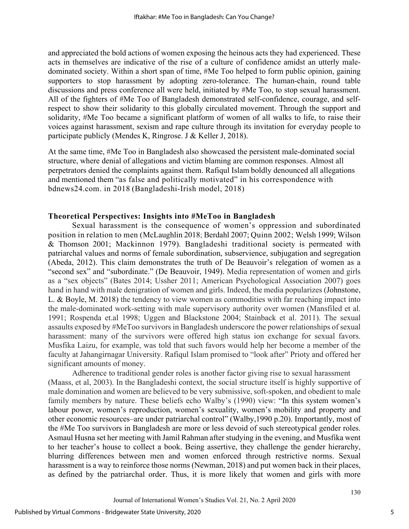and appreciated the bold actions of women exposing the heinous acts they had experienced. These acts in themselves are indicative of the rise of a culture of confidence amidst an utterly maledominated society. Within a short span of time, #Me Too helped to form public opinion, gaining supporters to stop harassment by adopting zero-tolerance. The human-chain, round table discussions and press conference all were held, initiated by #Me Too, to stop sexual harassment. All of the fighters of #Me Too of Bangladesh demonstrated self-confidence, courage, and selfrespect to show their solidarity to this globally circulated movement. Through the support and solidarity, #Me Too became a significant platform of women of all walks to life, to raise their voices against harassment, sexism and rape culture through its invitation for everyday people to participate publicly (Mendes K, Ringrose. J & Keller J, 2018).

At the same time, #Me Too in Bangladesh also showcased the persistent male-dominated social structure, where denial of allegations and victim blaming are common responses. Almost all perpetrators denied the complaints against them. [Rafiqul Islam](https://bdnews24.com/entertainment/2018/11/01/bangladeshi-irish-model-prioty-alleges-sexual-harassment-by-businessman-politician-rafiqul) boldly denounced all allegations and mentioned them "as false and politically motivated" in his correspondence with bdnews24.com. in 2018 (Bangladeshi-Irish model, 2018)

## **Theoretical Perspectives: Insights into #MeToo in Bangladesh**

Sexual harassment is the consequence of women's oppression and subordinated position in relation to men (McLaughlin 2018; Berdahl 2007; Quinn 2002; Welsh 1999; Wilson & Thomson 2001; Mackinnon 1979). Bangladeshi traditional society is permeated with patriarchal values and norms of female subordination, subservience, subjugation and segregation (Abeda, 2012). This claim demonstrates the truth of De Beauvoir's relegation of women as a "second sex" and "subordinate." (De [Beauvoir,](https://www.goodreads.com/author/show/5548.Simone_de_Beauvoir) 1949). Media representation of women and girls as a "sex objects" (Bates 2014; Ussher 2011; American Psychological Association 2007) goes hand in hand with male denigration of women and girls. Indeed, the media popularizes (Johnstone, L. & Boyle, M. 2018) the tendency to view women as commodities with far reaching impact into the male-dominated work-setting with male supervisory authority over women (Mansfiled et al. 1991; Rospenda et.al 1998; Uggen and Blackstone 2004; Stainback et al. 2011). The sexual assaults exposed by #MeToo survivors in Bangladesh underscore the power relationships of sexual harassment: many of the survivors were offered high status ion exchange for sexual favors. Musfika Laizu, for example, was told that such favors would help her become a member of the faculty at Jahangirnagar University. Rafiqul Islam promised to "look after" Prioty and offered her significant amounts of money.

Adherence to traditional gender roles is another factor giving rise to sexual harassment (Maass, et al, 2003). In the Bangladeshi context, the social structure itself is highly supportive of male domination and women are believed to be very submissive, soft-spoken, and obedient to male family members by nature. These beliefs echo Walby's (1990) view: "In this system women's labour power, women's reproduction, women's sexuality, women's mobility and property and other economic resources–are under patriarchal control" (Walby,1990 p.20). Importantly, most of the #Me Too survivors in Bangladesh are more or less devoid of such stereotypical gender roles. Asmaul Husna set her meeting with Jamil Rahman after studying in the evening, and Musfika went to her teacher's house to collect a book. Being assertive, they challenge the gender hierarchy, blurring differences between men and women enforced through restrictive norms. Sexual harassment is a way to reinforce those norms (Newman, 2018) and put women back in their places, as defined by the patriarchal order. Thus, it is more likely that women and girls with more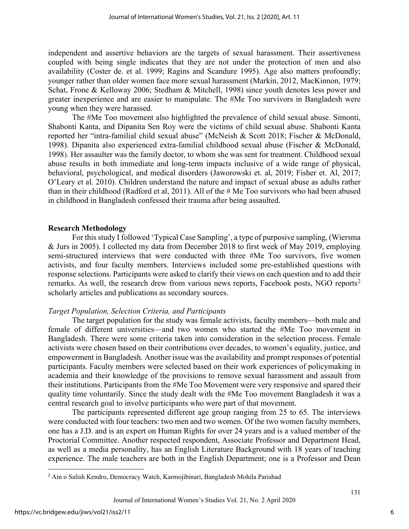independent and assertive behaviors are the targets of sexual harassment. Their assertiveness coupled with being single indicates that they are not under the protection of men and also availability (Coster de. et al. 1999; Ragins and Scandure 1995). Age also matters profoundly; younger rather than older women face more sexual harassment (Markin, 2012, MacKinnon, 1979; Schat, Frone & Kelloway 2006; Stedham & Mitchell, 1998) since youth denotes less power and greater inexperience and are easier to manipulate. The #Me Too survivors in Bangladesh were young when they were harassed.

The #Me Too movement also highlighted the prevalence of child sexual abuse. Simonti, Shabonti Kanta, and Dipanita Sen Roy were the victims of child sexual abuse. Shabonti Kanta reported her "intra-familial child sexual abuse" (McNeish & Scott 2018; Fischer & McDonald, 1998). Dipanita also experienced extra-familial childhood sexual abuse (Fischer & McDonald, 1998). Her assaulter was the family doctor, to whom she was sent for treatment. Childhood sexual abuse results in both immediate and long-term impacts inclusive of a wide range of physical, behavioral, psychological, and medical disorders (Jaworowski et. al, 2019; Fisher et. Al, 2017; O'Leary et al. 2010). Children understand the nature and impact of sexual abuse as adults rather than in their childhood (Radford et al, 2011). All of the # Me Too survivors who had been abused in childhood in Bangladesh confessed their trauma after being assaulted.

### **Research Methodology**

For this study I followed 'Typical Case Sampling', a type of purposive sampling, (Wiersma & Jurs in 2005). I collected my data from December 2018 to first week of May 2019, employing semi-structured interviews that were conducted with three #Me Too survivors, five women activists, and four faculty members. Interviews included some pre-established questions with response selections. Participants were asked to clarify their views on each question and to add their remarks. As well, the research drew from various news reports, Facebook posts, NGO reports[2](#page-6-0) scholarly articles and publications as secondary sources.

### *Target Population, Selection Criteria, and Participants*

The target population for the study was female activists, faculty members—both male and female of different universities—and two women who started the #Me Too movement in Bangladesh. There were some criteria taken into consideration in the selection process. Female activists were chosen based on their contributions over decades, to women's equality, justice, and empowerment in Bangladesh. Another issue was the availability and prompt responses of potential participants. Faculty members were selected based on their work experiences of policymaking in academia and their knowledge of the provisions to remove sexual harassment and assault from their institutions. Participants from the #Me Too Movement were very responsive and spared their quality time voluntarily. Since the study dealt with the #Me Too movement Bangladesh it was a central research goal to involve participants who were part of that movement.

The participants represented different age group ranging from 25 to 65. The interviews were conducted with four teachers: two men and two women. Of the two women faculty members, one has a J.D. and is an expert on Human Rights for over 24 years and is a valued member of the Proctorial Committee. Another respected respondent, Associate Professor and Department Head, as well as a media personality, has an English Literature Background with 18 years of teaching experience. The male teachers are both in the English Department; one is a Professor and Dean

<span id="page-6-0"></span><sup>2</sup> Ain o Salish Kendro, Democracy Watch, Karmojibinari, Bangladesh Mohila Parishad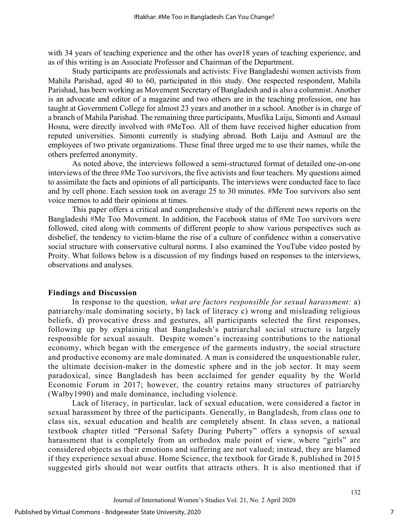with 34 years of teaching experience and the other has over18 years of teaching experience, and as of this writing is an Associate Professor and Chairman of the Department.

Study participants are professionals and activists: Five Bangladeshi women activists from Mahila Parishad, aged 40 to 60, participated in this study. One respected respondent, Mahila Parishad, has been working as Movement Secretary of Bangladesh and is also a columnist. Another is an advocate and editor of a magazine and two others are in the teaching profession, one has taught at Government College for almost 23 years and another in a school. Another is in charge of a branch of Mahila Parishad. The remaining three participants, Musfika Laiju, Simonti and Asmaul Hosna, were directly involved with #MeToo. All of them have received higher education from reputed universities. Simonti currently is studying abroad. Both Laiju and Asmaul are the employees of two private organizations. These final three urged me to use their names, while the others preferred anonymity.

As noted above, the interviews followed a semi-structured format of detailed one-on-one interviews of the three #Me Too survivors, the five activists and four teachers. My questions aimed to assimilate the facts and opinions of all participants. The interviews were conducted face to face and by cell phone. Each session took on average 25 to 30 minutes. #Me Too survivors also sent voice memos to add their opinions at times.

This paper offers a critical and comprehensive study of the different news reports on the Bangladeshi #Me Too Movement. In addition, the Facebook status of #Me Too survivors were followed, cited along with comments of different people to show various perspectives such as disbelief, the tendency to victim-blame the rise of a culture of confidence within a conservative social structure with conservative cultural norms. I also examined the YouTube video posted by Proity. What follows below is a discussion of my findings based on responses to the interviews, observations and analyses.

#### **Findings and Discussion**

In response to the question*, what are factors responsible for sexual harassment:* a) patriarchy/male dominating society, b) lack of literacy c) wrong and misleading religious beliefs, d) provocative dress and gestures, all participants selected the first responses, following up by explaining that Bangladesh's patriarchal social structure is largely responsible for sexual assault. Despite women's increasing contributions to the national economy, which began with the emergence of the garments industry, the social structure and productive economy are male dominated. A man is considered the unquestionable ruler, the ultimate decision-maker in the domestic sphere and in the job sector. It may seem paradoxical, since Bangladesh has been acclaimed for gender equality by the World Economic Forum in 2017; however, the country retains many structures of patriarchy (Walby1990) and male dominance, including violence.

Lack of literacy, in particular, lack of sexual education, were considered a factor in sexual harassment by three of the participants. Generally, in Bangladesh, from class one to class six, sexual education and health are completely absent. In class seven, a national textbook chapter titled "Personal Safety During Puberty" offers a synopsis of sexual harassment that is completely from an orthodox male point of view, where "girls" are considered objects as their emotions and suffering are not valued; instead, they are blamed if they experience sexual abuse. Home Science, the textbook for Grade 8, published in 2015 suggested girls should not wear outfits that attracts others. It is also mentioned that if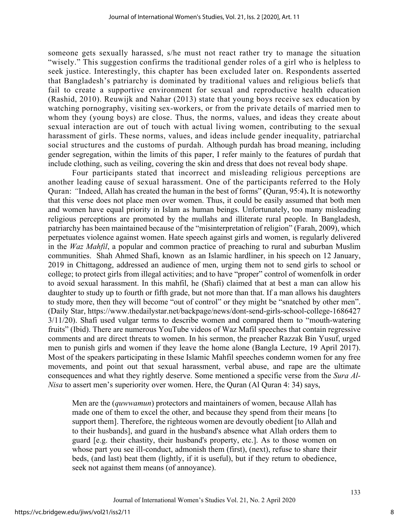someone gets sexually harassed, s/he must not react rather try to manage the situation "wisely." This suggestion confirms the traditional gender roles of a girl who is helpless to seek justice. Interestingly, this chapter has been excluded later on. Respondents asserted that Bangladesh's patriarchy is dominated by traditional values and religious beliefs that fail to create a supportive environment for sexual and reproductive health education (Rashid, 2010). Reuwijk and Nahar (2013) state that young boys receive sex education by watching pornography, visiting sex-workers, or from the private details of married men to whom they (young boys) are close. Thus, the norms, values, and ideas they create about sexual interaction are out of touch with actual living women, contributing to the sexual harassment of girls. These norms, values, and ideas include gender inequality, patriarchal social structures and the customs of purdah. Although purdah has broad meaning, including gender segregation, within the limits of this paper, I refer mainly to the features of purdah that include clothing, such as veiling, covering the skin and dress that does not reveal body shape.

Four participants stated that incorrect and misleading religious perceptions are another leading cause of sexual harassment. One of the participants referred to the Holy Quran: *"*Indeed, Allah has created the human in the best of forms" **(**Quran, 95:4)**.** It is noteworthy that this verse does not place men over women. Thus, it could be easily assumed that both men and women have equal priority in Islam as human beings. Unfortunately, too many misleading religious perceptions are promoted by the mullahs and illiterate rural people. In Bangladesh, patriarchy has been maintained because of the "misinterpretation of religion" (Farah, 2009), which perpetuates violence against women. Hate speech against girls and women, is regularly delivered in the *Waz Mahfil*, a popular and common practice of preaching to rural and suburban Muslim communities. Shah Ahmed Shafi, known as an Islamic hardliner, in his speech on 12 January, 2019 in Chittagong, addressed an audience of men, urging them not to send girls to school or college; to protect girls from illegal activities; and to have "proper" control of womenfolk in order to avoid sexual harassment. In this mahfil, he (Shafi) claimed that at best a man can allow his daughter to study up to fourth or fifth grade, but not more than that. If a man allows his daughters to study more, then they will become "out of control" or they might be "snatched by other men". (Daily Star,<https://www.thedailystar.net/backpage/news/dont-send-girls-school-college-1686427> 3/11/20). Shafi used vulgar terms to describe women and compared them to "mouth-watering fruits" (Ibid). There are numerous YouTube videos of Waz Mafil speeches that contain regressive comments and are direct threats to women. In his sermon, the preacher Razzak Bin Yusuf, urged men to punish girls and women if they leave the home alone (Bangla Lecture, 19 April 2017). Most of the speakers participating in these Islamic Mahfil speeches condemn women for any free movements, and point out that sexual harassment, verbal abuse, and rape are the ultimate consequences and what they rightly deserve. Some mentioned a specific verse from the *Sura Al-Nisa* to assert men's superiority over women. Here, the Quran (Al Quran 4: 34) says,

Men are the (*quwwamun*) protectors and maintainers of women, because Allah has made one of them to excel the other, and because they spend from their means [to support them]. Therefore, the righteous women are devoutly obedient [to Allah and to their husbands], and guard in the husband's absence what Allah orders them to guard [e.g. their chastity, their husband's property, etc.]. As to those women on whose part you see ill-conduct, admonish them (first), (next), refuse to share their beds, (and last) beat them (lightly, if it is useful), but if they return to obedience, seek not against them means (of annoyance).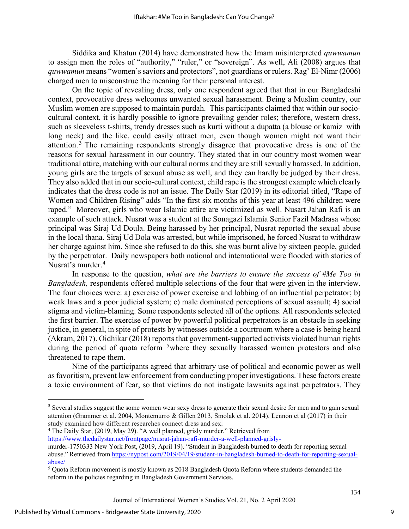Siddika and Khatun (2014) have demonstrated how the Imam misinterpreted *quwwamun* to assign men the roles of "authority," "ruler," or "sovereign". As well, Ali (2008) argues that *quwwamun* means "women's saviors and protectors", not guardians or rulers. Rag' El-Nimr (2006) charged men to misconstrue the meaning for their personal interest.

On the topic of revealing dress, only one respondent agreed that that in our Bangladeshi context, provocative dress welcomes unwanted sexual harassment. Being a Muslim country, our Muslim women are supposed to maintain purdah. This participants claimed that within our sociocultural context, it is hardly possible to ignore prevailing gender roles; therefore, western dress, such as sleeveless t-shirts, trendy dresses such as kurti without a dupatta (a blouse or kamiz with long neck) and the like, could easily attract men, even though women might not want their attention.<sup>[3](#page-9-0)</sup> The remaining respondents strongly disagree that provocative dress is one of the reasons for sexual harassment in our country. They stated that in our country most women wear traditional attire, matching with our cultural norms and they are still sexually harassed. In addition, young girls are the targets of sexual abuse as well, and they can hardly be judged by their dress. They also added that in our socio-cultural context, child rape is the strongest example which clearly indicates that the dress code is not an issue. The Daily Star (2019) in its editorial titled, "Rape of Women and Children Rising" adds "In the first six months of this year at least 496 children were raped." Moreover, girls who wear Islamic attire are victimized as well. Nusart Jahan Rafi is an example of such attack. Nusrat was a student at the Sonagazi Islamia Senior Fazil Madrasa whose principal was Siraj Ud Doula. Being harassed by her principal, Nusrat reported the sexual abuse in the local thana. Siraj Ud Dola was arrested, but while imprisoned, he forced Nusrat to withdraw her charge against him. Since she refused to do this, she was burnt alive by sixteen people, guided by the perpetrator. Daily newspapers both national and international were flooded with stories of Nusrat's murder. [4](#page-9-1)

In response to the question, *what are the barriers to ensure the success of #Me Too in Bangladesh,* respondents offered multiple selections of the four that were given in the interview. The four choices were: a) exercise of power exercise and lobbing of an influential perpetrator; b) weak laws and a poor judicial system; c) male dominated perceptions of sexual assault; 4) social stigma and victim-blaming. Some respondents selected all of the options. All respondents selected the first barrier. The exercise of power by powerful political perpetrators is an obstacle in seeking justice, in general, in spite of protests by witnesses outside a courtroom where a case is being heard (Akram, 2017). Oidhikar (2018) reports that government-supported activists violated human rights during the period of quota reform  $5$  where they sexually harassed women protestors and also threatened to rape them.

Nine of the participants agreed that arbitrary use of political and economic power as well asfavoritism, prevent law enforcement from conducting proper investigations. These factors create a toxic environment of fear, so that victims do not instigate lawsuits against perpetrators. They

<span id="page-9-1"></span><sup>4</sup> The Daily Star, (2019, May 29). "A well planned, grisly murder." Retrieved from

<https://www.thedailystar.net/frontpage/nusrat-jahan-rafi-murder-a-well-planned-grisly->

<span id="page-9-0"></span><sup>&</sup>lt;sup>3</sup> Several studies suggest the some women wear sexy dress to generate their sexual desire for men and to gain sexual attention (Grammer et al. [2004,](https://link.springer.com/article/10.1186/s40691-017-0101-5#CR22) Montemurro & Gillen [2013,](https://link.springer.com/article/10.1186/s40691-017-0101-5#CR52) Smolak et al. [2014\)](https://link.springer.com/article/10.1186/s40691-017-0101-5#CR63). Lennon et al (2017) in their study examined how different researches connect dress and sex.

murder-1750333 New York Post, (2019, April 19). "Student in Bangladesh burned to death for reporting sexual abuse." Retrieved fro[m https://nypost.com/2019/04/19/student-in-bangladesh-burned-to-death-for-reporting-sexual](https://nypost.com/2019/04/19/student-in-bangladesh-burned-to-death-for-reporting-sexual-abuse/)[abuse/](https://nypost.com/2019/04/19/student-in-bangladesh-burned-to-death-for-reporting-sexual-abuse/)

<span id="page-9-2"></span><sup>5</sup> Quota Reform movement is mostly known as 2018 Bangladesh Quota Reform where students demanded the reform in the policies regarding in Bangladesh Government Services.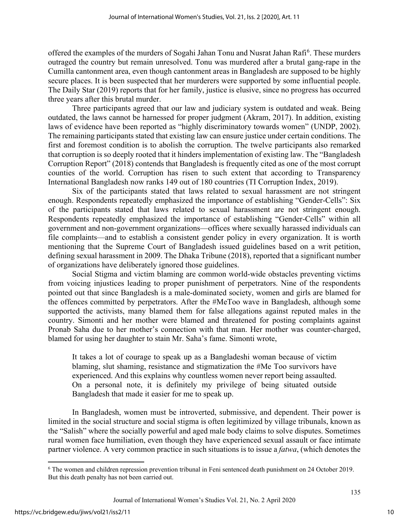offered the examples of the murders of Sogahi Jahan Tonu and Nusrat Jahan Rafi<sup>[6](#page-10-0)</sup>. These murders outraged the country but remain unresolved. Tonu was murdered after a brutal gang-rape in the Cumilla cantonment area, even though cantonment areas in Bangladesh are supposed to be highly secure places. It is been suspected that her murderers were supported by some influential people. The Daily Star (2019) reports that for her family, justice is elusive, since no progress has occurred three years after this brutal murder.

Three participants agreed that our law and judiciary system is outdated and weak. Being outdated, the laws cannot be harnessed for proper judgment (Akram, 2017). In addition, existing laws of evidence have been reported as "highly discriminatory towards women" (UNDP, 2002). The remaining participants stated that existing law can ensure justice under certain conditions. The first and foremost condition is to abolish the corruption. The twelve participants also remarked that corruption is so deeply rooted that it hinders implementation of existing law. The "Bangladesh Corruption Report" (2018) contends that Bangladesh is frequently cited as one of the most corrupt counties of the world. Corruption has risen to such extent that according to Transparency International Bangladesh now ranks 149 out of 180 countries (TI Corruption Index, 2019).

Six of the participants stated that laws related to sexual harassment are not stringent enough. Respondents repeatedly emphasized the importance of establishing "Gender-Cells": Six of the participants stated that laws related to sexual harassment are not stringent enough. Respondents repeatedly emphasized the importance of establishing "Gender-Cells" within all government and non-government organizations—offices where sexually harassed individuals can file complaints—and to establish a consistent gender policy in every organization. It is worth mentioning that the Supreme Court of Bangladesh issued guidelines based on a writ petition, defining sexual harassment in 2009. The [Dhaka Tribune](https://www.dhakatribune.com/bangladesh/court/2018/05/08/supreme-court-guidelines-sexual-harassment-largely-ignored) (2018), reported that a significant number of organizations have deliberately ignored those guidelines.

Social Stigma and victim blaming are common world-wide obstacles preventing victims from voicing injustices leading to proper punishment of perpetrators. Nine of the respondents pointed out that since Bangladesh is a male-dominated society, women and girls are blamed for the offences committed by perpetrators. After the #MeToo wave in Bangladesh, although some supported the activists, many blamed them for false allegations against reputed males in the country. Simonti and her mother were blamed and threatened for posting complaints against Pronab Saha due to her mother's connection with that man. Her mother was counter-charged, blamed for using her daughter to stain Mr. Saha's fame. Simonti wrote,

It takes a lot of courage to speak up as a Bangladeshi woman because of victim blaming, slut shaming, resistance and stigmatization the #Me Too survivors have experienced. And this explains why countless women never report being assaulted. On a personal note, it is definitely my privilege of being situated outside Bangladesh that made it easier for me to speak up.

In Bangladesh, women must be introverted, submissive, and dependent. Their power is limited in the social structure and social stigma is often legitimized by village tribunals, known as the "Salish" where the socially powerful and aged male body claims to solve disputes. Sometimes rural women face humiliation, even though they have experienced sexual assault or face intimate partner violence. A very common practice in such situations is to issue a *fatwa*, (which denotes the

<span id="page-10-0"></span><sup>6</sup> The women and children repression prevention tribunal in Feni sentenced death punishment on 24 October 2019. But this death penalty has not been carried out.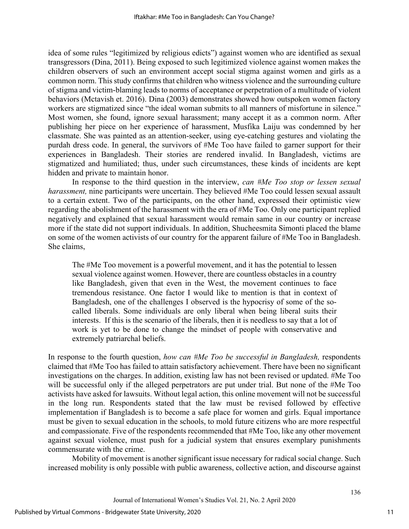idea of some rules "legitimized by religious edicts") against women who are identified as sexual transgressors (Dina, 2011). Being exposed to such legitimized violence against women makes the children observers of such an environment accept social stigma against women and girls as a common norm. This study confirms that children who witness violence and the surrounding culture of stigma and victim-blaming leads to norms of acceptance or perpetration of a multitude of violent behaviors (Mctavish et. 2016). Dina (2003) demonstrates showed how outspoken women factory workers are stigmatized since "the ideal woman submits to all manners of misfortune in silence." Most women, she found, ignore sexual harassment; many accept it as a common norm. After publishing her piece on her experience of harassment, Musfika Laiju was condemned by her classmate. She was painted as an attention-seeker, using eye-catching gestures and violating the purdah dress code. In general, the survivors of #Me Too have failed to garner support for their experiences in Bangladesh. Their stories are rendered invalid. In Bangladesh, victims are stigmatized and humiliated; thus, under such circumstances, these kinds of incidents are kept hidden and private to maintain honor.

In response to the third question in the interview, *can #Me Too stop or lessen sexual harassment*, nine participants were uncertain. They believed #Me Too could lessen sexual assault to a certain extent. Two of the participants, on the other hand, expressed their optimistic view regarding the abolishment of the harassment with the era of #Me Too. Only one participant replied negatively and explained that sexual harassment would remain same in our country or increase more if the state did not support individuals. In addition, Shucheesmita Simonti placed the blame on some of the women activists of our country for the apparent failure of #Me Too in Bangladesh. She claims,

The #Me Too movement is a powerful movement, and it has the potential to lessen sexual violence against women. However, there are countless obstacles in a country like Bangladesh, given that even in the West, the movement continues to face tremendous resistance. One factor I would like to mention is that in context of Bangladesh, one of the challenges I observed is the hypocrisy of some of the socalled liberals. Some individuals are only liberal when being liberal suits their interests. If this is the scenario of the liberals, then it is needless to say that a lot of work is yet to be done to change the mindset of people with conservative and extremely patriarchal beliefs.

In response to the fourth question, *how can #Me Too be successful in Bangladesh,* respondents claimed that #Me Too has failed to attain satisfactory achievement. There have been no significant investigations on the charges. In addition, existing law has not been revised or updated. #Me Too will be successful only if the alleged perpetrators are put under trial. But none of the #Me Too activists have asked for lawsuits. Without legal action, this online movement will not be successful in the long run. Respondents stated that the law must be revised followed by effective implementation if Bangladesh is to become a safe place for women and girls. Equal importance must be given to sexual education in the schools, to mold future citizens who are more respectful and compassionate. Five of the respondents recommended that #Me Too, like any other movement against sexual violence, must push for a judicial system that ensures exemplary punishments commensurate with the crime.

Mobility of movement is another significant issue necessary for radical social change. Such increased mobility is only possible with public awareness, collective action, and discourse against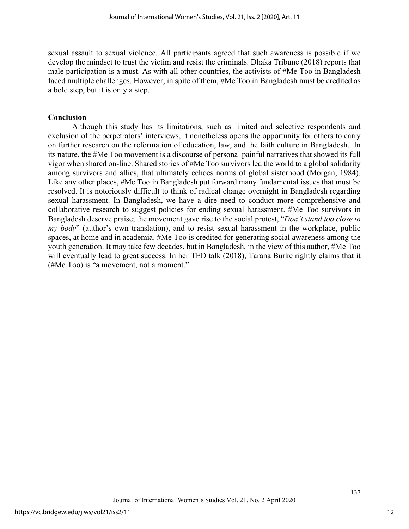sexual assault to sexual violence. All participants agreed that such awareness is possible if we develop the mindset to trust the victim and resist the criminals. Dhaka Tribune (2018) reports that male participation is a must. As with all other countries, the activists of #Me Too in Bangladesh faced multiple challenges. However, in spite of them, #Me Too in Bangladesh must be credited as a bold step, but it is only a step.

## **Conclusion**

Although this study has its limitations, such as limited and selective respondents and exclusion of the perpetrators' interviews, it nonetheless opens the opportunity for others to carry on further research on the reformation of education, law, and the faith culture in Bangladesh. In its nature, the #Me Too movement is a discourse of personal painful narratives that showed its full vigor when shared on-line. Shared stories of #Me Too survivors led the world to a global solidarity among survivors and allies, that ultimately echoes norms of global sisterhood (Morgan, 1984). Like any other places, #Me Too in Bangladesh put forward many fundamental issues that must be resolved. It is notoriously difficult to think of radical change overnight in Bangladesh regarding sexual harassment. In Bangladesh, we have a dire need to conduct more comprehensive and collaborative research to suggest policies for ending sexual harassment. #Me Too survivors in Bangladesh deserve praise; the movement gave rise to the social protest, "*Don't stand too close to my body*" (author's own translation), and to resist sexual harassment in the workplace, public spaces, at home and in academia. #Me Too is credited for generating social awareness among the youth generation. It may take few decades, but in Bangladesh, in the view of this author, #Me Too will eventually lead to great success. In her TED talk (2018), Tarana Burke rightly claims that it (#Me Too) is "a movement, not a moment."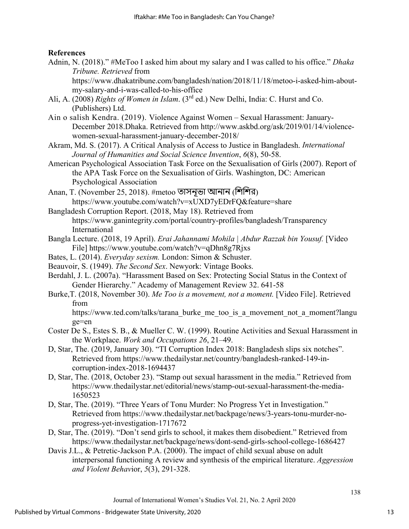## **References**

Adnin, N. (2018)." #MeToo I asked him about my salary and I was called to his office." *Dhaka Tribune. Retrieved* from

https://www.dhakatribune.com/bangladesh/nation/2018/11/18/metoo-i-asked-him-aboutmy-salary-and-i-was-called-to-his-office

Ali, A. (2008) *Rights of Women in Islam*. (3rd ed.) New Delhi, India: C. Hurst and Co. (Publishers) Ltd.

Ain o salish Kendra. (2019). Violence Against Women – Sexual Harassment: January-December 2018.Dhaka. Retrieved from [http://www.askbd.org/ask/2019/01/14/violence](http://www.askbd.org/ask/2019/01/14/violence-women-sexual-harassment-january-december-2018/)[women-sexual-harassment-january-december-2018/](http://www.askbd.org/ask/2019/01/14/violence-women-sexual-harassment-january-december-2018/)

- Akram, Md. S. (2017). A Critical Analysis of Access to Justice in Bangladesh. *International Journal of Humanities and Social Science Invention*, *6*(8), 50-58.
- American Psychological Association Task Force on the Sexualisation of Girls (2007). Report of the APA Task Force on the Sexualisation of Girls. Washington, DC: American Psychological Association
- Anan, T. (November 25, 2018). #metoo তাসনূভা আনান (িশিশর) <https://www.youtube.com/watch?v=xUXD7yEDrFQ&feature=share>

Bangladesh Corruption Report. (2018, May 18). Retrieved from https://www.ganintegrity.com/portal/country-profiles/bangladesh/Transparency International

- Bangla Lecture. (2018, 19 April). *Erai Jahannami Mohila | Abdur Razzak bin Yousuf.* [Video File] <https://www.youtube.com/watch?v=qDhn8g7Rjxs>
- Bates, L. (2014). *Everyday sexism.* London: Simon & Schuster.
- Beauvoir, S. (1949). *The Second Sex*. Newyork: Vintage Books.
- Berdahl, J. L. (2007a). "Harassment Based on Sex: Protecting Social Status in the Context of Gender Hierarchy." Academy of Management Review 32. 641-58
- Burke,T. (2018, November 30). *Me Too is a movement, not a moment.* [Video File]. Retrieved from

https://www.ted.com/talks/tarana\_burke\_me\_too\_is\_a\_movement\_not\_a\_moment?langu ge=en

- Coster De S., Estes S. B., & Mueller C. W. (1999). Routine Activities and Sexual Harassment in the Workplace. *Work and Occupations 26*, 21–49.
- D, Star, The. (2019, January 30). "TI Corruption Index 2018: Bangladesh slips six notches". Retrieved from https://www.thedailystar.net/country/bangladesh-ranked-149-incorruption-index-2018-1694437
- D, Star, The. (2018, October 23). "Stamp out sexual harassment in the media." Retrieved from https://www.thedailystar.net/editorial/news/stamp-out-sexual-harassment-the-media-1650523
- D, Star, The. (2019). "Three Years of Tonu Murder: No Progress Yet in Investigation." Retrieved from https://www.thedailystar.net/backpage/news/3-years-tonu-murder-noprogress-yet-investigation-1717672
- D, Star, The. (2019). "Don't send girls to school, it makes them disobedient." Retrieved from <https://www.thedailystar.net/backpage/news/dont-send-girls-school-college-1686427>
- Davis J.L., & Petretic-Jackson P.A. (2000). The impact of child sexual abuse on adult interpersonal functioning A review and synthesis of the empirical literature. *Aggression and Violent Behav*ior, *5*(3), 291-328.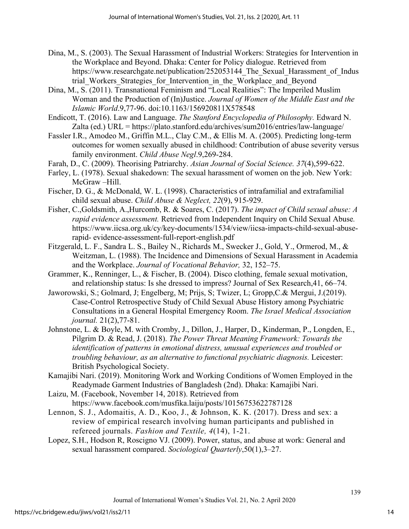- Dina, M., S. (2003). The Sexual Harassment of Industrial Workers: Strategies for Intervention in the Workplace and Beyond. Dhaka: Center for Policy dialogue. Retrieved from https://www.researchgate.net/publication/252053144 The Sexual Harassment of Indus trial Workers Strategies for Intervention in the Workplace and Beyond
- Dina, M., S. (2011). Transnational Feminism and "Local Realities": The Imperiled Muslim Woman and the Production of (In)Justice. *Journal of Women of the Middle East and the Islamic World*.9,77-96. doi:10.1163/156920811X578548
- Endicott, T. (2016). Law and Language. *The Stanford Encyclopedia of Philosophy.* Edward N. Zalta (ed.) URL =<https://plato.stanford.edu/archives/sum2016/entries/law-language/>
- Fassler I.R., Amodeo M., Griffin M.L., Clay C.M., & Ellis M. A. (2005). Predicting long-term outcomes for women sexually abused in childhood: Contribution of abuse severity versus family environment. *Child Abuse Negl*.9,269-284.
- Farah, D., C. (2009). Theorising Patriarchy. *Asian Journal of Social Science. 37*(4),599-622.
- Farley, L. (1978). Sexual shakedown: The sexual harassment of women on the job. New York: McGraw –Hill.
- Fischer, D. G., & McDonald, W. L. (1998). Characteristics of intrafamilial and extrafamilial child sexual abuse. *Child Abuse & Neglect, 22*(9), 915-929.
- Fisher, C.,Goldsmith, A.,Hurcomb, R. & Soares, C. (2017). *The impact of Child sexual abuse: A rapid evidence assessment.* Retrieved from Independent Inquiry on Child Sexual Abuse*.*  https://www.iicsa.org.uk/cy/key-documents/1534/view/iicsa-impacts-child-sexual-abuserapid- evidence-assessment-full-report-english.pdf
- Fitzgerald, L. F., Sandra L. S., Bailey N., Richards M., Swecker J., Gold, Y., Ormerod, M., & Weitzman, L. (1988). The Incidence and Dimensions of Sexual Harassment in Academia and the Workplace. *Journal of Vocational Behavior,* 32, 152–75.
- Grammer, K., Renninger, L., & Fischer, B. (2004). Disco clothing, female sexual motivation, and relationship status: Is she dressed to impress? Journal of Sex Research,41, 66–74.
- Jaworowski, S.; Golmard, J; Engelberg, M; Prijs, S; Twizer, L; Gropp,C.& Mergui, J.(2019). Case-Control Retrospective Study of Child Sexual Abuse History among Psychiatric Consultations in a General Hospital Emergency Room. *The Israel Medical Association journal.* 21(2),77-81.
- Johnstone, L. & Boyle, M. with Cromby, J., Dillon, J., Harper, D., Kinderman, P., Longden, E., Pilgrim D. & Read, J. (2018). *The Power Threat Meaning Framework: Towards the identification of patterns in emotional distress, unusual experiences and troubled or troubling behaviour, as an alternative to functional psychiatric diagnosis.* Leicester: British Psychological Society.
- Kamajibi Nari. (2019). Monitoring Work and Working Conditions of Women Employed in the Readymade Garment Industries of Bangladesh (2nd). Dhaka: Kamajibi Nari.
- Laizu, M. (Facebook, November 14, 2018). Retrieved from <https://www.facebook.com/musfika.laiju/posts/10156753622787128>
- Lennon, S. J., Adomaitis, A. D., Koo, J., & Johnson, K. K. (2017). Dress and sex: a review of empirical research involving human participants and published in refereed journals. *Fashion and Textile, 4*(14), 1-21.
- Lopez, S.H., Hodson R, Roscigno VJ. (2009). Power, status, and abuse at work: General and sexual harassment compared. *Sociological Quarterly*,50(1),3–27.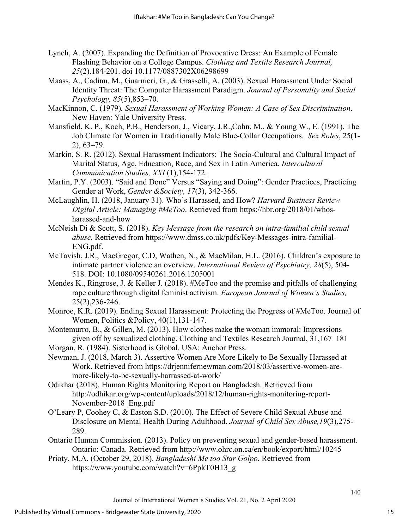- Lynch, A. (2007). Expanding the Definition of Provocative Dress: An Example of Female Flashing Behavior on a College Campus. *Clothing and Textile Research Journal, 25*(2).184-201. doi 10.1177/0887302X06298699
- Maass, A., Cadinu, M., Guarnieri, G., & Grasselli, A. (2003). Sexual Harassment Under Social Identity Threat: The Computer Harassment Paradigm. *Journal of Personality and Social Psychology, 85*(5),853–70.
- MacKinnon, C. (1979)*. Sexual Harassment of Working Women: A Case of Sex Discrimination*. New Haven: Yale University Press.
- Mansfield, K. P., Koch, P.B., Henderson, J., Vicary, J.R.,Cohn, M., & Young W., E. (1991). The Job Climate for Women in Traditionally Male Blue-Collar Occupations. *Sex Roles*, 25(1- 2), 63–79.
- Markin, S. R. (2012). Sexual Harassment Indicators: The Socio-Cultural and Cultural Impact of Marital Status, Age, Education, Race, and Sex in Latin America. *Intercultural Communication Studies, XXI* (1),154-172.
- Martin, P.Y. (2003). "Said and Done" Versus "Saying and Doing": Gender Practices, Practicing Gender at Work, *Gender &Society, 17*(3), 342-366.
- McLaughlin, H. (2018, January 31). Who's Harassed, and How? *Harvard Business Review Digital Article: Managing #MeToo*. Retrieved from https://hbr.org/2018/01/whosharassed-and-how
- McNeish Di & Scott, S. (2018). *Key Message from the research on intra-familial child sexual abuse.* Retrieved from [https://www.dmss.co.uk/pdfs/Key-Messages-intra-familial-](https://www.dmss.co.uk/pdfs/Key-Messages-intra-familial-ENG.pdf)[ENG.pdf.](https://www.dmss.co.uk/pdfs/Key-Messages-intra-familial-ENG.pdf)
- McTavish, J.R., MacGregor, C.D, Wathen, N., & MacMilan, H.L. (2016). Children's exposure to intimate partner violence an overview. *International Review of Psychiatry, 28*(5), 504- 518. DOI: [10.1080/09540261.2016.1205001](https://doi.org/10.1080/09540261.2016.1205001)
- Mendes K., Ringrose, J. & Keller J. (2018). #MeToo and the promise and pitfalls of challenging rape culture through digital feminist activism. *European Journal of Women's Studies,*  25(2),236-246.
- Monroe, K.R. (2019). Ending Sexual Harassment: Protecting the Progress of #MeToo. Journal of Women, Politics &Policy, 40(1),131-147.
- Montemurro, B., & Gillen, M. (2013). How clothes make the woman immoral: Impressions given off by sexualized clothing. Clothing and Textiles Research Journal, 31,167–181
- Morgan, R. (1984). Sisterhood is Global. USA: Anchor Press.
- [Newman,](https://drjennifernewman.com/author/admin/) J. (2018, March 3). Assertive Women Are More Likely to Be Sexually Harassed at Work. Retrieved from https://drjennifernewman.com/2018/03/assertive-women-aremore-likely-to-be-sexually-harrassed-at-work/
- Odikhar (2018). Human Rights Monitoring Report on Bangladesh. Retrieved from http://odhikar.org/wp-content/uploads/2018/12/human-rights-monitoring-report-November-2018\_Eng.pdf
- O'Leary P, Coohey C, & Easton S.D. (2010). The Effect of Severe Child Sexual Abuse and Disclosure on Mental Health During Adulthood. *Journal of Child Sex Abuse,19*(3),275- 289.
- Ontario Human Commission. (2013). Policy on preventing sexual and gender-based harassment. Ontario: Canada. Retrieved from<http://www.ohrc.on.ca/en/book/export/html/10245>
- Prioty, M.A. (October 29, 2018). *Bangladeshi Me too Star Golpo.* Retrieved from [https://www.youtube.com/watch?v=6PpkT0H13\\_g](https://www.youtube.com/watch?v=6PpkT0H13_g)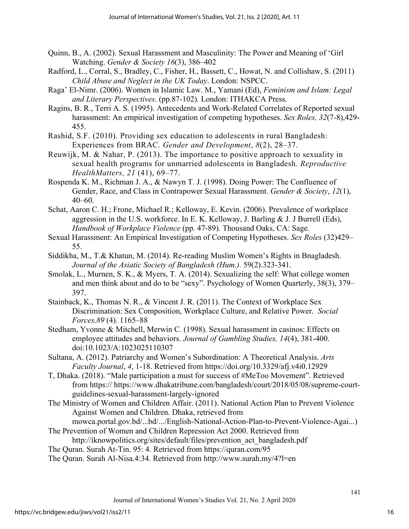- Quinn, B., A. (2002). Sexual Harassment and Masculinity: The Power and Meaning of 'Girl Watching. *Gender & Society 16*(3), 386–402
- Radford, L., Corral, S., Bradley, C., Fisher, H., Bassett, C., Howat, N. and Collishaw, S. (2011) *Child Abuse and Neglect in the UK Today*. London: NSPCC.
- Raga' El-Nimr. (2006). Women in Islamic Law. M., Yamani (Ed), *Feminism and Islam: Legal and Literary Perspectives*. (pp.87-102)*.* London: ITHAKCA Press.
- Ragins, B. R., Terri A. S. (1995). Antecedents and Work-Related Correlates of Reported sexual harassment: An empirical investigation of competing hypotheses. *Sex Roles, 32*(7-8),429- 455.
- Rashid, S.F. (2010). Providing sex education to adolescents in rural Bangladesh: Experiences from BRAC. *Gender and Development*, *8*(2), 28–37.
- Reuwijk, M. & Nahar, P. (2013). The importance to positive approach to sexuality in sexual health programs for unmarried adolescents in Bangladesh. *Reproductive HealthMatters, 21* (41), 69–77.
- Rospenda K. M., Richman J. A., & Nawyn T. J. (1998). Doing Power: The Confluence of Gender, Race, and Class in Contrapower Sexual Harassment. *Gender & Society*, *12*(1),  $40-60$ .
- Schat, Aaron C. H.; Frone, Michael R.; Kelloway, E. Kevin. (2006). Prevalence of workplace aggression in the U.S. workforce. In E. K. Kelloway, J. Barling & J. J Burrell (Eds), *Handbook of Workplace Violence* (pp. 47-89)*.* Thousand Oaks, CA: Sage.
- Sexual Harassment: An Empirical Investigation of Competing Hypotheses. *Sex Roles* (32)429– 55.
- Siddikha, M., T.& Khatun, M. (2014). Re-reading Muslim Women's Rights in Bnagladesh. *Journal of the Asiatic Society of Bangladesh (Hum.).* 59(2).323-341.
- Smolak, L., Murnen, S. K., & Myers, T. A. (2014). Sexualizing the self: What college women and men think about and do to be "sexy". Psychology of Women Quarterly, 38(3), 379– 397.
- Stainback, K., Thomas N. R., & Vincent J. R. (2011). The Context of Workplace Sex Discrimination: Sex Composition, Workplace Culture, and Relative Power. *Social Forces,89* (4). 1165–88
- Stedham, Yvonne & Mitchell, Merwin C. (1998). Sexual harassment in casinos: Effects on employee attitudes and behaviors. *Journal of Gambling Studies, 14*(4), 381-400. doi:10.1023/A:1023025110307
- Sultana, A. (2012). Patriarchy and Women's Subordination: A Theoretical Analysis. *Arts Faculty Journal*, *4*, 1-18. Retrieved from<https://doi.org/10.3329/afj.v4i0.12929>
- T, Dhaka. (2018). "Male participation a must for success of #MeToo Movement". Retrieved from https:// [https://www.dhakatribune.com/bangladesh/court/2018/05/08/supreme-court](https://www.dhakatribune.com/bangladesh/court/2018/05/08/supreme-court-guidelines-sexual-harassment-largely-ignored)[guidelines-sexual-harassment-largely-ignored](https://www.dhakatribune.com/bangladesh/court/2018/05/08/supreme-court-guidelines-sexual-harassment-largely-ignored)
- The Ministry of Women and Children Affair. (2011). National Action Plan to Prevent Violence Against Women and Children. Dhaka, retrieved from
- mowca.portal.gov.bd/...bd/.../English-National-Action-Plan-to-Prevent-Violence-Agai...) The Prevention of Women and Children Repression Act 2000. Retrieved from
- [http://iknowpolitics.org/sites/default/files/prevention\\_act\\_bangladesh.pdf](http://iknowpolitics.org/sites/default/files/prevention_act_bangladesh.pdf)
- The Quran. Surah At-Tin. 95: 4. Retrieved from<https://quran.com/95>
- The Quran. Surah Al-Nisa.4:34. Retrieved from<http://www.surah.my/4?l=en>